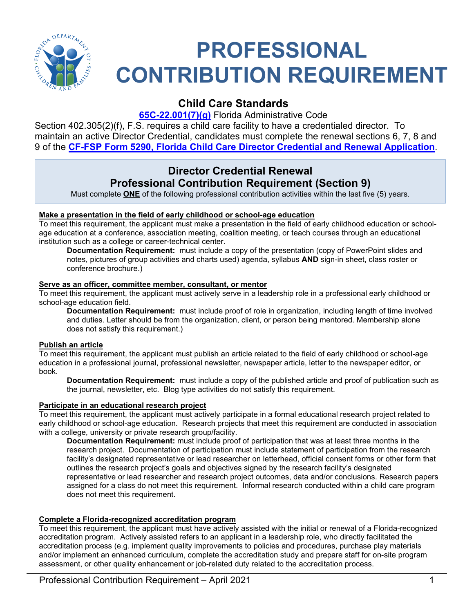

# **PROFESSIONAL CONTRIBUTION REQUIREMENT**

# **Child Care Standards**

**[65C-22.001\(7\)\(g\)](https://www.flrules.org/gateway/ChapterHome.asp?Chapter=65C-22)** Florida Administrative Code

Section 402.305(2)(f), F.S. requires a child care facility to have a credentialed director. To maintain an active Director Credential, candidates must complete the renewal sections 6, 7, 8 and 9 of the **[CF-FSP Form 5290, Florida Child Care Director Credential and Renewal Application](https://eds.myflfamilies.com/DCFFormsInternet/Search/OpenDCFForm.aspx?FormID=3218)**.

# **Director Credential Renewal Professional Contribution Requirement (Section 9)**

Must complete **ONE** of the following professional contribution activities within the last five (5) years.

## **Make a presentation in the field of early childhood or school-age education**

To meet this requirement, the applicant must make a presentation in the field of early childhood education or schoolage education at a conference, association meeting, coalition meeting, or teach courses through an educational institution such as a college or career-technical center.

**Documentation Requirement:** must include a copy of the presentation (copy of PowerPoint slides and notes, pictures of group activities and charts used) agenda, syllabus **AND** sign-in sheet, class roster or conference brochure.)

## **Serve as an officer, committee member, consultant, or mentor**

To meet this requirement, the applicant must actively serve in a leadership role in a professional early childhood or school-age education field.

**Documentation Requirement:** must include proof of role in organization, including length of time involved and duties. Letter should be from the organization, client, or person being mentored. Membership alone does not satisfy this requirement.)

## **Publish an article**

To meet this requirement, the applicant must publish an article related to the field of early childhood or school-age education in a professional journal, professional newsletter, newspaper article, letter to the newspaper editor, or book.

**Documentation Requirement:** must include a copy of the published article and proof of publication such as the journal, newsletter, etc. Blog type activities do not satisfy this requirement.

## **Participate in an educational research project**

To meet this requirement, the applicant must actively participate in a formal educational research project related to early childhood or school-age education. Research projects that meet this requirement are conducted in association with a college, university or private research group/facility.

**Documentation Requirement:** must include proof of participation that was at least three months in the research project. Documentation of participation must include statement of participation from the research facility's designated representative or lead researcher on letterhead, official consent forms or other form that outlines the research project's goals and objectives signed by the research facility's designated representative or lead researcher and research project outcomes, data and/or conclusions. Research papers assigned for a class do not meet this requirement. Informal research conducted within a child care program does not meet this requirement.

# **Complete a Florida-recognized accreditation program**

To meet this requirement, the applicant must have actively assisted with the initial or renewal of a Florida-recognized accreditation program. Actively assisted refers to an applicant in a leadership role, who directly facilitated the accreditation process (e.g. implement quality improvements to policies and procedures, purchase play materials and/or implement an enhanced curriculum, complete the accreditation study and prepare staff for on-site program assessment, or other quality enhancement or job-related duty related to the accreditation process.